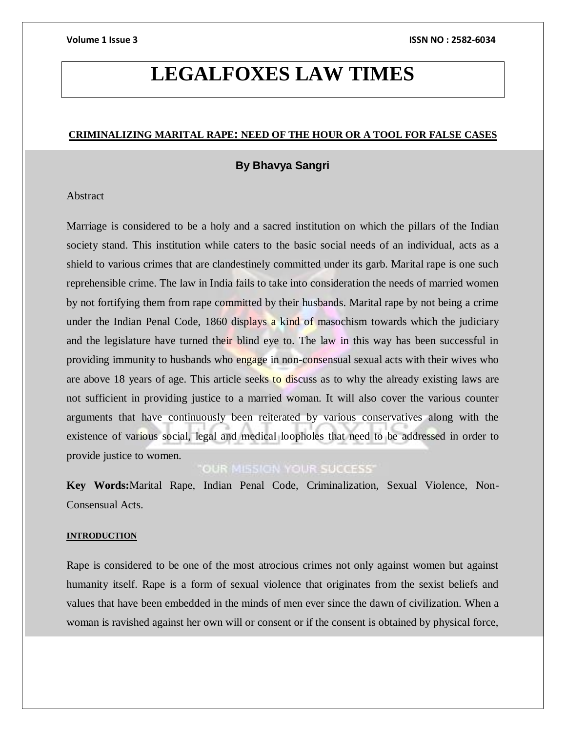# **LEGALFOXES LAW TIMES**

## **CRIMINALIZING MARITAL RAPE: NEED OF THE HOUR OR A TOOL FOR FALSE CASES**

# **By Bhavya Sangri**

# Abstract

Marriage is considered to be a holy and a sacred institution on which the pillars of the Indian society stand. This institution while caters to the basic social needs of an individual, acts as a shield to various crimes that are clandestinely committed under its garb. Marital rape is one such reprehensible crime. The law in India fails to take into consideration the needs of married women by not fortifying them from rape committed by their husbands. Marital rape by not being a crime under the Indian Penal Code, 1860 displays a kind of masochism towards which the judiciary and the legislature have turned their blind eye to. The law in this way has been successful in providing immunity to husbands who engage in non-consensual sexual acts with their wives who are above 18 years of age. This article seeks to discuss as to why the already existing laws are not sufficient in providing justice to a married woman. It will also cover the various counter arguments that have continuously been reiterated by various conservatives along with the existence of various social, legal and medical loopholes that need to be addressed in order to provide justice to women.

# OUR MISSION YOUR SUCCESS'

**Key Words:**Marital Rape, Indian Penal Code, Criminalization, Sexual Violence, Non-Consensual Acts.

### **INTRODUCTION**

Rape is considered to be one of the most atrocious crimes not only against women but against humanity itself. Rape is a form of sexual violence that originates from the sexist beliefs and values that have been embedded in the minds of men ever since the dawn of civilization. When a woman is ravished against her own will or consent or if the consent is obtained by physical force,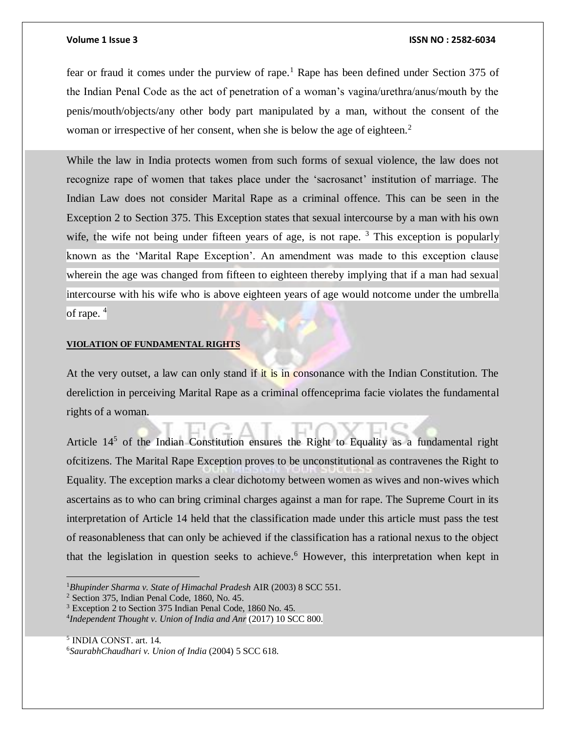fear or fraud it comes under the purview of rape.<sup>1</sup> Rape has been defined under Section 375 of the Indian Penal Code as the act of penetration of a woman's vagina/urethra/anus/mouth by the penis/mouth/objects/any other body part manipulated by a man, without the consent of the woman or irrespective of her consent, when she is below the age of eighteen.<sup>2</sup>

While the law in India protects women from such forms of sexual violence, the law does not recognize rape of women that takes place under the 'sacrosanct' institution of marriage. The Indian Law does not consider Marital Rape as a criminal offence. This can be seen in the Exception 2 to Section 375. This Exception states that sexual intercourse by a man with his own wife, the wife not being under fifteen years of age, is not rape.  $3$  This exception is popularly known as the 'Marital Rape Exception'. An amendment was made to this exception clause wherein the age was changed from fifteen to eighteen thereby implying that if a man had sexual intercourse with his wife who is above eighteen years of age would notcome under the umbrella of rape.<sup>4</sup>

### **VIOLATION OF FUNDAMENTAL RIGHTS**

At the very outset, a law can only stand if it is in consonance with the Indian Constitution. The dereliction in perceiving Marital Rape as a criminal offenceprima facie violates the fundamental rights of a woman.

Article 14<sup>5</sup> of the Indian Constitution ensures the Right to Equality as a fundamental right ofcitizens. The Marital Rape Exception proves to be unconstitutional as contravenes the Right to Equality. The exception marks a clear dichotomy between women as wives and non-wives which ascertains as to who can bring criminal charges against a man for rape. The Supreme Court in its interpretation of Article 14 held that the classification made under this article must pass the test of reasonableness that can only be achieved if the classification has a rational nexus to the object that the legislation in question seeks to achieve.<sup>6</sup> However, this interpretation when kept in

 $\overline{a}$ 

<sup>1</sup>*Bhupinder Sharma v. State of Himachal Pradesh* AIR (2003) 8 SCC 551.

<sup>2</sup> Section 375, Indian Penal Code, 1860, No. 45.

<sup>3</sup> Exception 2 to Section 375 Indian Penal Code, 1860 No. 45.

<sup>4</sup> *Independent Thought v. Union of India and Anr* (2017) 10 SCC 800.

<sup>5</sup> INDIA CONST. art. 14.

<sup>6</sup>*SaurabhChaudhari v. Union of India* (2004) 5 SCC 618.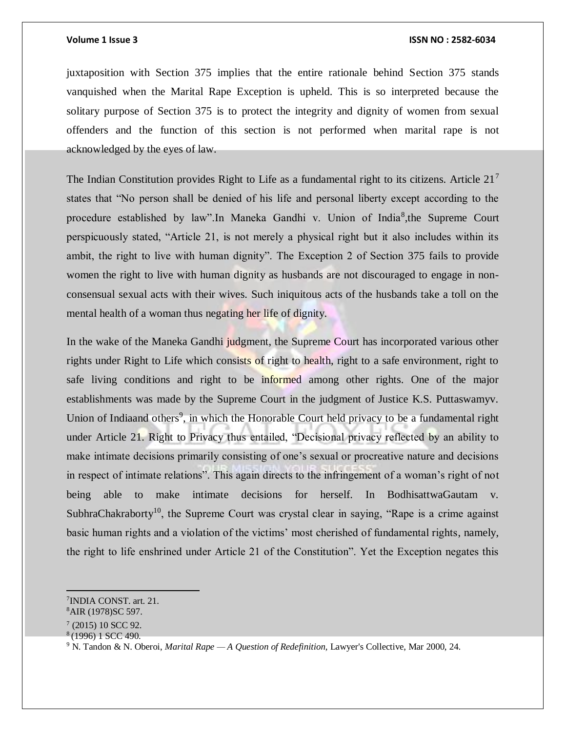juxtaposition with Section 375 implies that the entire rationale behind Section 375 stands vanquished when the Marital Rape Exception is upheld. This is so interpreted because the solitary purpose of Section 375 is to protect the integrity and dignity of women from sexual offenders and the function of this section is not performed when marital rape is not acknowledged by the eyes of law.

The Indian Constitution provides Right to Life as a fundamental right to its citizens. Article  $21<sup>7</sup>$ states that "No person shall be denied of his life and personal liberty except according to the procedure established by law". In Maneka Gandhi v. Union of India<sup>8</sup>, the Supreme Court perspicuously stated, "Article 21, is not merely a physical right but it also includes within its ambit, the right to live with human dignity". The Exception 2 of Section 375 fails to provide women the right to live with human dignity as husbands are not discouraged to engage in nonconsensual sexual acts with their wives. Such iniquitous acts of the husbands take a toll on the mental health of a woman thus negating her life of dignity.

In the wake of the Maneka Gandhi judgment, the Supreme Court has incorporated various other rights under Right to Life which consists of right to health, right to a safe environment, right to safe living conditions and right to be informed among other rights. One of the major establishments was made by the Supreme Court in the judgment of Justice K.S. Puttaswamyv. Union of Indiaand others<sup>9</sup>, in which the Honorable Court held privacy to be a fundamental right under Article 21. Right to Privacy thus entailed, "Decisional privacy reflected by an ability to make intimate decisions primarily consisting of one's sexual or procreative nature and decisions in respect of intimate relations". This again directs to the infringement of a woman's right of not being able to make intimate decisions for herself. In BodhisattwaGautam v. SubhraChakraborty<sup>10</sup>, the Supreme Court was crystal clear in saying, "Rape is a crime against basic human rights and a violation of the victims' most cherished of fundamental rights, namely, the right to life enshrined under Article 21 of the Constitution". Yet the Exception negates this

 $\overline{a}$ 

<sup>7</sup> INDIA CONST. art. 21.

<sup>8</sup>AIR (1978)SC 597.

<sup>7</sup> (2015) 10 SCC 92.

<sup>8</sup>(1996) 1 SCC 490.

<sup>9</sup> N. Tandon & N. Oberoi, *Marital Rape — A Question of Redefinition,* Lawyer's Collective, Mar 2000, 24.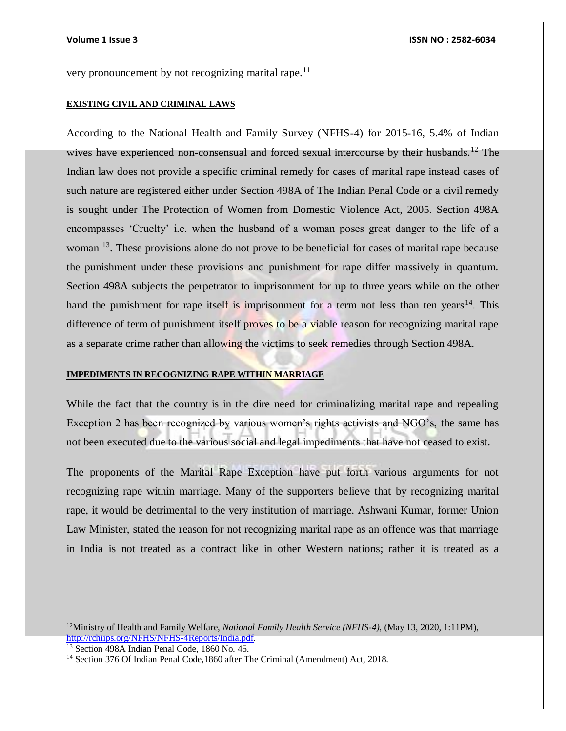very pronouncement by not recognizing marital rape.<sup>11</sup>

### **EXISTING CIVIL AND CRIMINAL LAWS**

According to the National Health and Family Survey (NFHS-4) for 2015-16, 5.4% of Indian wives have experienced non-consensual and forced sexual intercourse by their husbands.<sup>12</sup> The Indian law does not provide a specific criminal remedy for cases of marital rape instead cases of such nature are registered either under Section 498A of The Indian Penal Code or a civil remedy is sought under The Protection of Women from Domestic Violence Act, 2005. Section 498A encompasses 'Cruelty' i.e. when the husband of a woman poses great danger to the life of a woman <sup>13</sup>. These provisions alone do not prove to be beneficial for cases of marital rape because the punishment under these provisions and punishment for rape differ massively in quantum. Section 498A subjects the perpetrator to imprisonment for up to three years while on the other hand the punishment for rape itself is imprisonment for a term not less than ten years<sup>14</sup>. This difference of term of punishment itself proves to be a viable reason for recognizing marital rape as a separate crime rather than allowing the victims to seek remedies through Section 498A.

### **IMPEDIMENTS IN RECOGNIZING RAPE WITHIN MARRIAGE**

While the fact that the country is in the dire need for criminalizing marital rape and repealing Exception 2 has been recognized by various women's rights activists and NGO's, the same has not been executed due to the various social and legal impediments that have not ceased to exist.

The proponents of the Marital Rape Exception have put forth various arguments for not recognizing rape within marriage. Many of the supporters believe that by recognizing marital rape, it would be detrimental to the very institution of marriage. Ashwani Kumar, former Union Law Minister, stated the reason for not recognizing marital rape as an offence was that marriage in India is not treated as a contract like in other Western nations; rather it is treated as a

<sup>13</sup> Section 498A Indian Penal Code, 1860 No. 45.

<sup>12</sup>Ministry of Health and Family Welfare, *National Family Health Service (NFHS-4)*, (May 13, 2020, 1:11PM), [http://rchiips.org/NFHS/NFHS-4Reports/India.pdf.](http://rchiips.org/NFHS/NFHS-4Reports/India.pdf)

<sup>&</sup>lt;sup>14</sup> Section 376 Of Indian Penal Code, 1860 after The Criminal (Amendment) Act, 2018.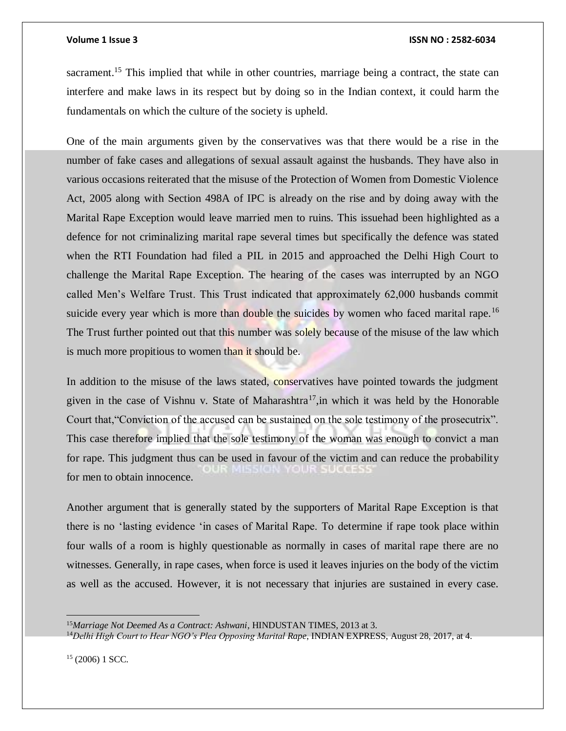### **Volume 1 Issue 3 ISSN NO : 2582-6034**

sacrament.<sup>15</sup> This implied that while in other countries, marriage being a contract, the state can interfere and make laws in its respect but by doing so in the Indian context, it could harm the fundamentals on which the culture of the society is upheld.

One of the main arguments given by the conservatives was that there would be a rise in the number of fake cases and allegations of sexual assault against the husbands. They have also in various occasions reiterated that the misuse of the Protection of Women from Domestic Violence Act, 2005 along with Section 498A of IPC is already on the rise and by doing away with the Marital Rape Exception would leave married men to ruins. This issuehad been highlighted as a defence for not criminalizing marital rape several times but specifically the defence was stated when the RTI Foundation had filed a PIL in 2015 and approached the Delhi High Court to challenge the Marital Rape Exception. The hearing of the cases was interrupted by an NGO called Men's Welfare Trust. This Trust indicated that approximately 62,000 husbands commit suicide every year which is more than double the suicides by women who faced marital rape.<sup>16</sup> The Trust further pointed out that this number was solely because of the misuse of the law which is much more propitious to women than it should be.

In addition to the misuse of the laws stated, conservatives have pointed towards the judgment given in the case of Vishnu v. State of Maharashtra<sup>17</sup>, in which it was held by the Honorable Court that,"Conviction of the accused can be sustained on the sole testimony of the prosecutrix". This case therefore implied that the sole testimony of the woman was enough to convict a man for rape. This judgment thus can be used in favour of the victim and can reduce the probability for men to obtain innocence.

Another argument that is generally stated by the supporters of Marital Rape Exception is that there is no 'lasting evidence 'in cases of Marital Rape. To determine if rape took place within four walls of a room is highly questionable as normally in cases of marital rape there are no witnesses. Generally, in rape cases, when force is used it leaves injuries on the body of the victim as well as the accused. However, it is not necessary that injuries are sustained in every case.

 $\overline{a}$ 

<sup>15</sup>*Marriage Not Deemed As a Contract: Ashwani*, HINDUSTAN TIMES, 2013 at 3. <sup>14</sup>*Delhi High Court to Hear NGO's Plea Opposing Marital Rape*, INDIAN EXPRESS, August 28, 2017, at 4.

<sup>15</sup> (2006) 1 SCC.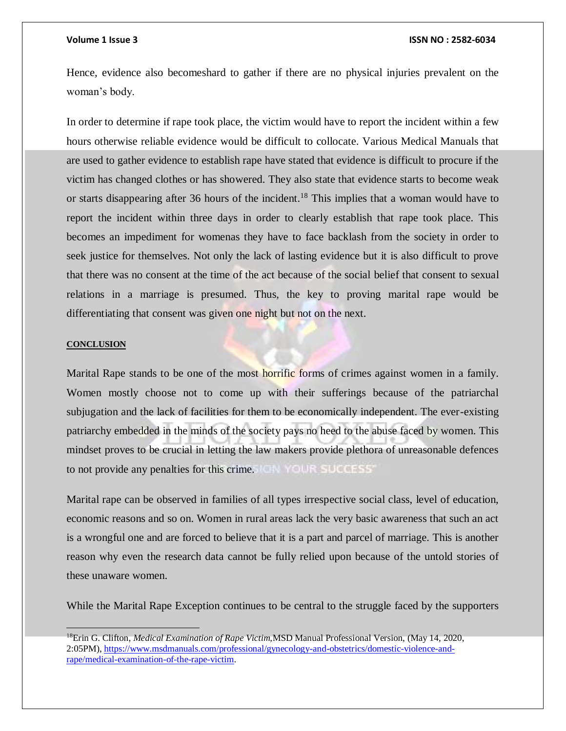### **Volume 1 Issue 3 ISSN NO : 2582-6034**

Hence, evidence also becomeshard to gather if there are no physical injuries prevalent on the woman's body.

In order to determine if rape took place, the victim would have to report the incident within a few hours otherwise reliable evidence would be difficult to collocate. Various Medical Manuals that are used to gather evidence to establish rape have stated that evidence is difficult to procure if the victim has changed clothes or has showered. They also state that evidence starts to become weak or starts disappearing after 36 hours of the incident.<sup>18</sup> This implies that a woman would have to report the incident within three days in order to clearly establish that rape took place. This becomes an impediment for womenas they have to face backlash from the society in order to seek justice for themselves. Not only the lack of lasting evidence but it is also difficult to prove that there was no consent at the time of the act because of the social belief that consent to sexual relations in a marriage is presumed. Thus, the key to proving marital rape would be differentiating that consent was given one night but not on the next.

### **CONCLUSION**

Marital Rape stands to be one of the most **horrific** forms of crimes against women in a family. Women mostly choose not to come up with their sufferings because of the patriarchal subjugation and the lack of facilities for them to be economically independent. The ever-existing patriarchy embedded in the minds of the society pays no heed to the abuse faced by women. This mindset proves to be crucial in letting the law makers provide plethora of unreasonable defences to not provide any penalties for this crime.

Marital rape can be observed in families of all types irrespective social class, level of education, economic reasons and so on. Women in rural areas lack the very basic awareness that such an act is a wrongful one and are forced to believe that it is a part and parcel of marriage. This is another reason why even the research data cannot be fully relied upon because of the untold stories of these unaware women.

While the Marital Rape Exception continues to be central to the struggle faced by the supporters

<sup>18</sup>Erin G. Clifton, *Medical Examination of Rape Victim,*MSD Manual Professional Version, (May 14, 2020, 2:05PM)[, https://www.msdmanuals.com/professional/gynecology-and-obstetrics/domestic-violence-and](https://www.msdmanuals.com/professional/gynecology-and-obstetrics/domestic-violence-and-rape/medical-examination-of-the-rape-victim)[rape/medical-examination-of-the-rape-victim.](https://www.msdmanuals.com/professional/gynecology-and-obstetrics/domestic-violence-and-rape/medical-examination-of-the-rape-victim)